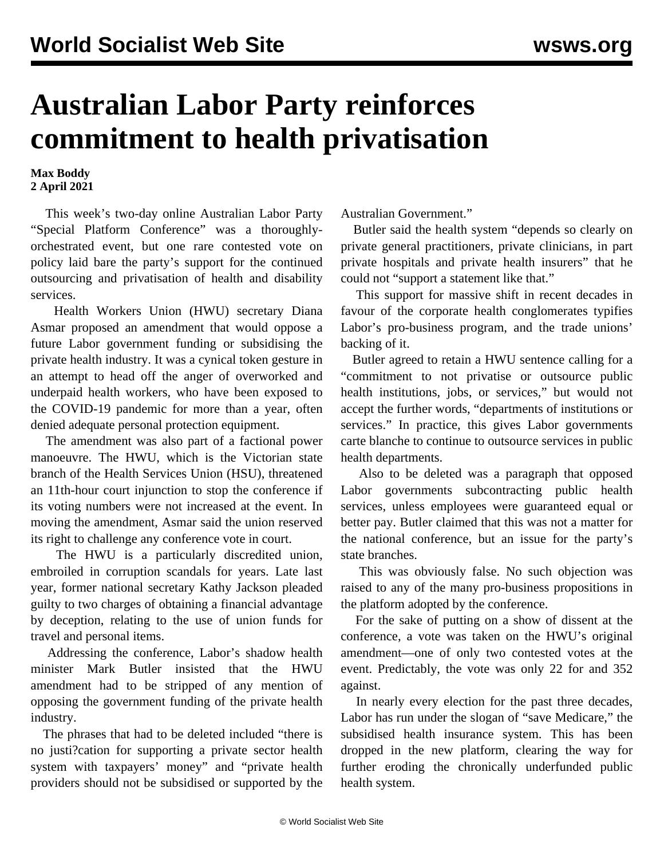## **Australian Labor Party reinforces commitment to health privatisation**

## **Max Boddy 2 April 2021**

 This week's two-day online Australian Labor Party "Special Platform Conference" was a thoroughlyorchestrated event, but one rare contested vote on policy laid bare the party's support for the continued outsourcing and privatisation of health and disability services.

 Health Workers Union (HWU) secretary Diana Asmar proposed an amendment that would oppose a future Labor government funding or subsidising the private health industry. It was a cynical token gesture in an attempt to head off the anger of overworked and underpaid health workers, who have been exposed to the COVID-19 pandemic for more than a year, often denied adequate personal protection equipment.

 The amendment was also part of a factional power manoeuvre. The HWU, which is the Victorian state branch of the Health Services Union (HSU), threatened an 11th-hour court injunction to stop the conference if its voting numbers were not increased at the event. In moving the amendment, Asmar said the union reserved its right to challenge any conference vote in court.

 The HWU is a particularly discredited union, embroiled in corruption scandals for years. Late [last](/en/articles/2020/10/15/jack-o15.html) [year,](/en/articles/2020/10/15/jack-o15.html) former national secretary Kathy Jackson pleaded guilty to two charges of obtaining a financial advantage by deception, relating to the use of union funds for travel and personal items.

 Addressing the conference, Labor's shadow health minister Mark Butler insisted that the HWU amendment had to be stripped of any mention of opposing the government funding of the private health industry.

 The phrases that had to be deleted included "there is no justi?cation for supporting a private sector health system with taxpayers' money" and "private health providers should not be subsidised or supported by the Australian Government."

 Butler said the health system "depends so clearly on private general practitioners, private clinicians, in part private hospitals and private health insurers" that he could not "support a statement like that."

 This support for massive shift in recent decades in favour of the corporate health conglomerates typifies Labor's pro-business program, and the trade unions' backing of it.

 Butler agreed to retain a HWU sentence calling for a "commitment to not privatise or outsource public health institutions, jobs, or services," but would not accept the further words, "departments of institutions or services." In practice, this gives Labor governments carte blanche to continue to outsource services in public health departments.

 Also to be deleted was a paragraph that opposed Labor governments subcontracting public health services, unless employees were guaranteed equal or better pay. Butler claimed that this was not a matter for the national conference, but an issue for the party's state branches.

 This was obviously false. No such objection was raised to any of the many pro-business propositions in the platform adopted by the conference.

 For the sake of putting on a show of dissent at the conference, a vote was taken on the HWU's original amendment—one of only two contested votes at the event. Predictably, the vote was only 22 for and 352 against.

 In nearly every election for the past three decades, Labor has run under the slogan of "save Medicare," the subsidised health insurance system. This has been dropped in the new platform, clearing the way for further eroding the chronically underfunded public health system.